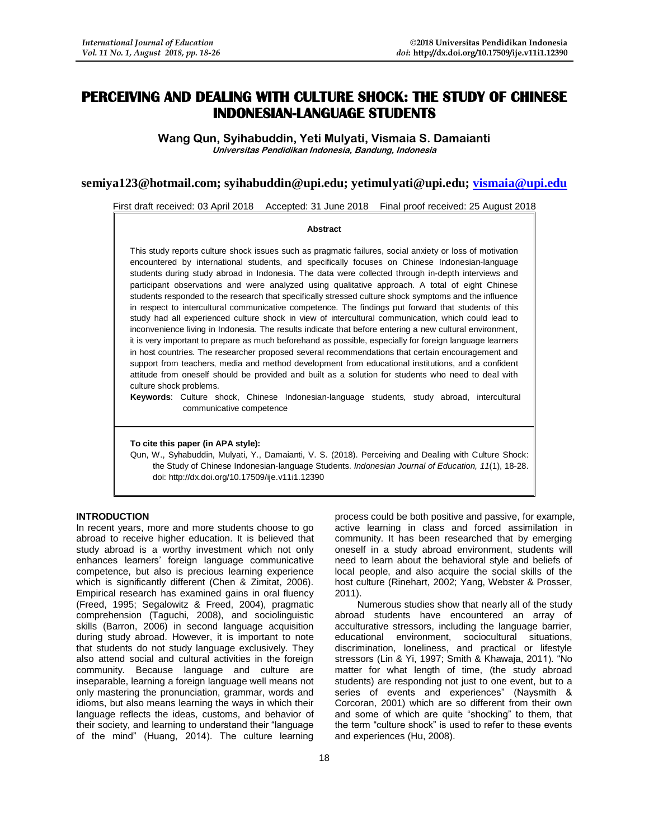# **PERCEIVING AND DEALING WITH CULTURE SHOCK: THE STUDY OF CHINESE INDONESIAN-LANGUAGE STUDENTS**

**Wang Qun, Syihabuddin, Yeti Mulyati, Vismaia S. Damaianti Universitas Pendidikan Indonesia, Bandung, Indonesia**

## **semiya123@hotmail.com; syihabuddin@upi.edu; yetimulyati@upi.edu; [vismaia@upi.edu](mailto:vismaia@upi.edu)**

First draft received: 03 April 2018 Accepted: 31 June 2018 Final proof received: 25 August 2018

#### **Abstract**

This study reports culture shock issues such as pragmatic failures, social anxiety or loss of motivation encountered by international students, and specifically focuses on Chinese Indonesian-language students during study abroad in Indonesia. The data were collected through in-depth interviews and participant observations and were analyzed using qualitative approach. A total of eight Chinese students responded to the research that specifically stressed culture shock symptoms and the influence in respect to intercultural communicative competence. The findings put forward that students of this study had all experienced culture shock in view of intercultural communication, which could lead to inconvenience living in Indonesia. The results indicate that before entering a new cultural environment, it is very important to prepare as much beforehand as possible, especially for foreign language learners in host countries. The researcher proposed several recommendations that certain encouragement and support from teachers, media and method development from educational institutions, and a confident attitude from oneself should be provided and built as a solution for students who need to deal with culture shock problems.

**Keywords**: Culture shock, Chinese Indonesian-language students, study abroad, intercultural communicative competence

### **To cite this paper (in APA style):**

Qun, W., Syhabuddin, Mulyati, Y., Damaianti, V. S. (2018). Perceiving and Dealing with Culture Shock: the Study of Chinese Indonesian-language Students. *Indonesian Journal of Education, 11*(1), 18-28. doi: http://dx.doi.org/10.17509/ije.v11i1.12390

## **INTRODUCTION**

In recent years, more and more students choose to go abroad to receive higher education. It is believed that study abroad is a worthy investment which not only enhances learners' foreign language communicative competence, but also is precious learning experience which is significantly different (Chen & Zimitat, 2006). Empirical research has examined gains in oral fluency (Freed, 1995; Segalowitz & Freed, 2004), pragmatic comprehension (Taguchi, 2008), and sociolinguistic skills (Barron, 2006) in second language acquisition during study abroad. However, it is important to note that students do not study language exclusively. They also attend social and cultural activities in the foreign community. Because language and culture are inseparable, learning a foreign language well means not only mastering the pronunciation, grammar, words and idioms, but also means learning the ways in which their language reflects the ideas, customs, and behavior of their society, and learning to understand their "language of the mind" (Huang, 2014). The culture learning

process could be both positive and passive, for example, active learning in class and forced assimilation in community. It has been researched that by emerging oneself in a study abroad environment, students will need to learn about the behavioral style and beliefs of local people, and also acquire the social skills of the host culture (Rinehart, 2002; Yang, Webster & Prosser, 2011).

Numerous studies show that nearly all of the study abroad students have encountered an array of acculturative stressors, including the language barrier, educational environment, sociocultural situations, discrimination, loneliness, and practical or lifestyle stressors (Lin & Yi, 1997; Smith & Khawaja, 2011). "No matter for what length of time, (the study abroad students) are responding not just to one event, but to a series of events and experiences" (Naysmith & Corcoran, 2001) which are so different from their own and some of which are quite "shocking" to them, that the term "culture shock" is used to refer to these events and experiences (Hu, 2008).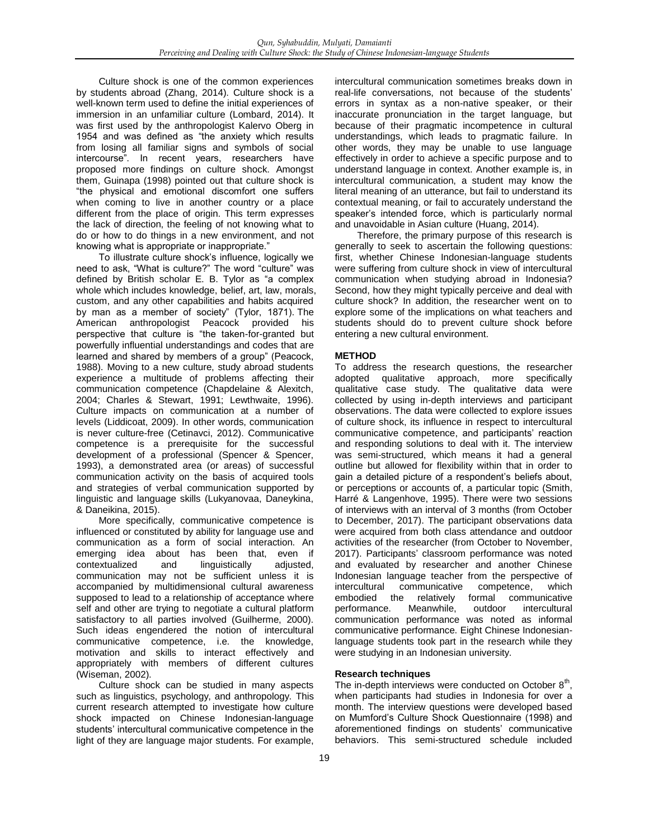Culture shock is one of the common experiences by students abroad (Zhang, 2014). Culture shock is a well-known term used to define the initial experiences of immersion in an unfamiliar culture (Lombard, 2014). It was first used by the anthropologist Kalervo Oberg in 1954 and was defined as "the anxiety which results from losing all familiar signs and symbols of social intercourse". In recent years, researchers have proposed more findings on culture shock. Amongst them, Guinapa (1998) pointed out that culture shock is "the physical and emotional discomfort one suffers when coming to live in another country or a place different from the place of origin. This term expresses the lack of direction, the feeling of not knowing what to do or how to do things in a new environment, and not knowing what is appropriate or inappropriate."

To illustrate culture shock's influence, logically we need to ask, "What is culture?" The word "culture" was defined by British scholar E. B. Tylor as "a complex whole which includes knowledge, belief, art, law, morals, custom, and any other capabilities and habits acquired by man as a member of society" (Tylor, 1871). The American anthropologist Peacock provided his perspective that culture is "the taken-for-granted but powerfully influential understandings and codes that are learned and shared by members of a group" (Peacock, 1988). Moving to a new culture, study abroad students experience a multitude of problems affecting their communication competence (Chapdelaine & Alexitch, 2004; Charles & Stewart, 1991; Lewthwaite, 1996). Culture impacts on communication at a number of levels (Liddicoat, 2009). In other words, communication is never culture-free (Cetinavci, 2012). Communicative competence is a prerequisite for the successful development of a professional (Spencer & Spencer, 1993), a demonstrated area (or areas) of successful communication activity on the basis of acquired tools and strategies of verbal communication supported by linguistic and language skills (Lukyanovaa, Daneykina, & Daneikina, 2015).

More specifically, communicative competence is influenced or constituted by ability for language use and communication as a form of social interaction. An emerging idea about has been that, even if contextualized and linguistically adjusted, communication may not be sufficient unless it is accompanied by multidimensional cultural awareness supposed to lead to a relationship of acceptance where self and other are trying to negotiate a cultural platform satisfactory to all parties involved (Guilherme, 2000). Such ideas engendered the notion of intercultural communicative competence, i.e. the knowledge, motivation and skills to interact effectively and appropriately with members of different cultures (Wiseman, 2002).

Culture shock can be studied in many aspects such as linguistics, psychology, and anthropology. This current research attempted to investigate how culture shock impacted on Chinese Indonesian-language students' intercultural communicative competence in the light of they are language major students. For example,

intercultural communication sometimes breaks down in real-life conversations, not because of the students' errors in syntax as a non-native speaker, or their inaccurate pronunciation in the target language, but because of their pragmatic incompetence in cultural understandings, which leads to pragmatic failure. In other words, they may be unable to use language effectively in order to achieve a specific purpose and to understand language in context. Another example is, in intercultural communication, a student may know the literal meaning of an utterance, but fail to understand its contextual meaning, or fail to accurately understand the speaker's intended force, which is particularly normal and unavoidable in Asian culture (Huang, 2014).

Therefore, the primary purpose of this research is generally to seek to ascertain the following questions: first, whether Chinese Indonesian-language students were suffering from culture shock in view of intercultural communication when studying abroad in Indonesia? Second, how they might typically perceive and deal with culture shock? In addition, the researcher went on to explore some of the implications on what teachers and students should do to prevent culture shock before entering a new cultural environment.

## **METHOD**

To address the research questions, the researcher adopted qualitative approach, more specifically qualitative case study. The qualitative data were collected by using in-depth interviews and participant observations. The data were collected to explore issues of culture shock, its influence in respect to intercultural communicative competence, and participants' reaction and responding solutions to deal with it. The interview was semi-structured, which means it had a general outline but allowed for flexibility within that in order to gain a detailed picture of a respondent's beliefs about, or perceptions or accounts of, a particular topic (Smith, Harré & Langenhove, 1995). There were two sessions of interviews with an interval of 3 months (from October to December, 2017). The participant observations data were acquired from both class attendance and outdoor activities of the researcher (from October to November, 2017). Participants' classroom performance was noted and evaluated by researcher and another Chinese Indonesian language teacher from the perspective of intercultural communicative competence, which intercultural communicative competence, which embodied the relatively formal communicative performance. Meanwhile, outdoor intercultural communication performance was noted as informal communicative performance. Eight Chinese Indonesianlanguage students took part in the research while they were studying in an Indonesian university.

## **Research techniques**

The in-depth interviews were conducted on October  $8<sup>th</sup>$ , when participants had studies in Indonesia for over a month. The interview questions were developed based on Mumford's Culture Shock Questionnaire (1998) and aforementioned findings on students' communicative behaviors. This semi-structured schedule included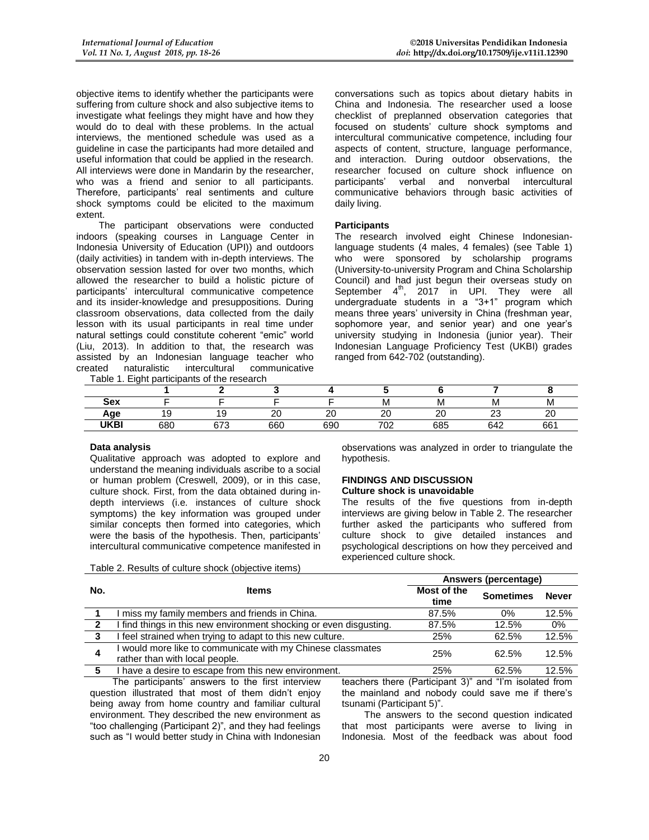objective items to identify whether the participants were suffering from culture shock and also subjective items to investigate what feelings they might have and how they would do to deal with these problems. In the actual interviews, the mentioned schedule was used as a guideline in case the participants had more detailed and useful information that could be applied in the research. All interviews were done in Mandarin by the researcher, who was a friend and senior to all participants. Therefore, participants' real sentiments and culture shock symptoms could be elicited to the maximum extent.

The participant observations were conducted indoors (speaking courses in Language Center in Indonesia University of Education (UPI)) and outdoors (daily activities) in tandem with in-depth interviews. The observation session lasted for over two months, which allowed the researcher to build a holistic picture of participants' intercultural communicative competence and its insider-knowledge and presuppositions. During classroom observations, data collected from the daily lesson with its usual participants in real time under natural settings could constitute coherent "emic" world (Liu, 2013). In addition to that, the research was assisted by an Indonesian language teacher who created naturalistic intercultural communicative

Table 1. Fight participants of the research

conversations such as topics about dietary habits in China and Indonesia. The researcher used a loose checklist of preplanned observation categories that focused on students' culture shock symptoms and intercultural communicative competence, including four aspects of content, structure, language performance, and interaction. During outdoor observations, the researcher focused on culture shock influence on participants' verbal and nonverbal intercultural communicative behaviors through basic activities of daily living.

### **Participants**

The research involved eight Chinese Indonesianlanguage students (4 males, 4 females) (see Table 1) who were sponsored by scholarship programs (University-to-university Program and China Scholarship Council) and had just begun their overseas study on September  $4<sup>th</sup>$ , 2017 in UPI. They were all undergraduate students in a "3+1" program which means three years' university in China (freshman year, sophomore year, and senior year) and one year's university studying in Indonesia (junior year). Their Indonesian Language Proficiency Test (UKBI) grades ranged from 642-702 (outstanding).

| Sex         |     |             |              |                    |           | ΙVΙ | I۷      |             |
|-------------|-----|-------------|--------------|--------------------|-----------|-----|---------|-------------|
| Age         |     |             | $\sim$<br>∠⊾ | $\sim$<br><u>L</u> | $\sim$    | nn  | ~~<br>້ | $\sim$<br>∼ |
| <b>UKBI</b> | 680 | czo<br>07 C | 660          | 690                | 700<br>νz | 685 | 642     | 661         |

### **Data analysis**

Qualitative approach was adopted to explore and understand the meaning individuals ascribe to a social or human problem (Creswell, 2009), or in this case, culture shock. First, from the data obtained during indepth interviews (i.e. instances of culture shock symptoms) the key information was grouped under similar concepts then formed into categories, which were the basis of the hypothesis. Then, participants' intercultural communicative competence manifested in

Table 2. Results of culture shock (objective items)

observations was analyzed in order to triangulate the hypothesis.

## **FINDINGS AND DISCUSSION**

## **Culture shock is unavoidable**

The results of the five questions from in-depth interviews are giving below in Table 2. The researcher further asked the participants who suffered from culture shock to give detailed instances and psychological descriptions on how they perceived and experienced culture shock.

|     |                                                                                             | Answers (percentage) |                                                        |              |
|-----|---------------------------------------------------------------------------------------------|----------------------|--------------------------------------------------------|--------------|
| No. | <b>Items</b>                                                                                | Most of the<br>time  | <b>Sometimes</b>                                       | <b>Never</b> |
|     | miss my family members and friends in China.                                                | 87.5%                | 0%                                                     | 12.5%        |
|     | I find things in this new environment shocking or even disgusting.                          | 87.5%                | 12.5%                                                  | 0%           |
| 3   | I feel strained when trying to adapt to this new culture.                                   | 25%                  | 62.5%                                                  | 12.5%        |
| 4   | would more like to communicate with my Chinese classmates<br>rather than with local people. | 25%                  | 62.5%                                                  | 12.5%        |
| 5   | I have a desire to escape from this new environment.                                        | 25%                  | 62.5%                                                  | 12.5%        |
|     | The narticinants' answers to the first interview                                            |                      | teachers there (Particinant 3)" and "I'm isolated from |              |

The participants' answers to the first interview question illustrated that most of them didn't enjoy being away from home country and familiar cultural environment. They described the new environment as "too challenging (Participant 2)", and they had feelings such as "I would better study in China with Indonesian

eachers there (Participant 3)" and "I'm isolate the mainland and nobody could save me if there's tsunami (Participant 5)".

The answers to the second question indicated that most participants were averse to living in Indonesia. Most of the feedback was about food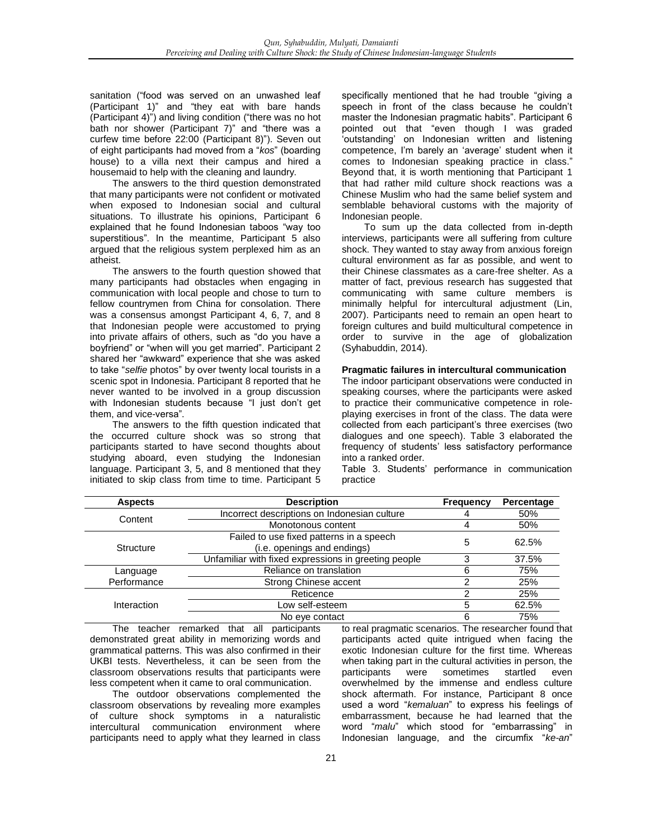sanitation ("food was served on an unwashed leaf (Participant 1)" and "they eat with bare hands (Participant 4)") and living condition ("there was no hot bath nor shower (Participant 7)" and "there was a curfew time before 22:00 (Participant 8)"). Seven out of eight participants had moved from a "*kos*" (boarding house) to a villa next their campus and hired a housemaid to help with the cleaning and laundry.

The answers to the third question demonstrated that many participants were not confident or motivated when exposed to Indonesian social and cultural situations. To illustrate his opinions, Participant 6 explained that he found Indonesian taboos "way too superstitious". In the meantime, Participant 5 also argued that the religious system perplexed him as an atheist.

The answers to the fourth question showed that many participants had obstacles when engaging in communication with local people and chose to turn to fellow countrymen from China for consolation. There was a consensus amongst Participant 4, 6, 7, and 8 that Indonesian people were accustomed to prying into private affairs of others, such as "do you have a boyfriend" or "when will you get married". Participant 2 shared her "awkward" experience that she was asked to take "*selfie* photos" by over twenty local tourists in a scenic spot in Indonesia. Participant 8 reported that he never wanted to be involved in a group discussion with Indonesian students because "I just don't get them, and vice-versa".

The answers to the fifth question indicated that the occurred culture shock was so strong that participants started to have second thoughts about studying aboard, even studying the Indonesian language. Participant 3, 5, and 8 mentioned that they initiated to skip class from time to time. Participant 5 specifically mentioned that he had trouble "giving a speech in front of the class because he couldn't master the Indonesian pragmatic habits". Participant 6 pointed out that "even though I was graded 'outstanding' on Indonesian written and listening competence, I'm barely an 'average' student when it comes to Indonesian speaking practice in class." Beyond that, it is worth mentioning that Participant 1 that had rather mild culture shock reactions was a Chinese Muslim who had the same belief system and semblable behavioral customs with the majority of Indonesian people.

To sum up the data collected from in-depth interviews, participants were all suffering from culture shock. They wanted to stay away from anxious foreign cultural environment as far as possible, and went to their Chinese classmates as a care-free shelter. As a matter of fact, previous research has suggested that communicating with same culture members is minimally helpful for intercultural adjustment (Lin, 2007). Participants need to remain an open heart to foreign cultures and build multicultural competence in order to survive in the age of globalization (Syhabuddin, 2014).

### **Pragmatic failures in intercultural communication**

The indoor participant observations were conducted in speaking courses, where the participants were asked to practice their communicative competence in roleplaying exercises in front of the class. The data were collected from each participant's three exercises (two dialogues and one speech). Table 3 elaborated the frequency of students' less satisfactory performance into a ranked order.

Table 3. Students' performance in communication practice

| <b>Aspects</b> | <b>Description</b>                                   | <b>Frequency</b> | Percentage |
|----------------|------------------------------------------------------|------------------|------------|
| Content        | Incorrect descriptions on Indonesian culture         |                  | 50%        |
|                | Monotonous content                                   |                  | 50%        |
|                | Failed to use fixed patterns in a speech             | 5                | 62.5%      |
| Structure      | (i.e. openings and endings)                          |                  |            |
|                | Unfamiliar with fixed expressions in greeting people |                  | 37.5%      |
| Language       | Reliance on translation                              | հ                | 75%        |
| Performance    | Strong Chinese accent                                |                  | 25%        |
|                | Reticence                                            |                  | 25%        |
| Interaction    | Low self-esteem                                      | 5                | 62.5%      |
|                | No eye contact                                       | 6                | 75%        |

The teacher remarked that all participants demonstrated great ability in memorizing words and grammatical patterns. This was also confirmed in their UKBI tests. Nevertheless, it can be seen from the classroom observations results that participants were less competent when it came to oral communication.

The outdoor observations complemented the classroom observations by revealing more examples of culture shock symptoms in a naturalistic intercultural communication environment where participants need to apply what they learned in class

to real pragmatic scenarios. The researcher found that participants acted quite intrigued when facing the exotic Indonesian culture for the first time. Whereas when taking part in the cultural activities in person, the participants were sometimes startled even overwhelmed by the immense and endless culture shock aftermath. For instance, Participant 8 once used a word "*kemaluan*" to express his feelings of embarrassment, because he had learned that the word "*malu*" which stood for "embarrassing" in Indonesian language, and the circumfix "*ke-an*"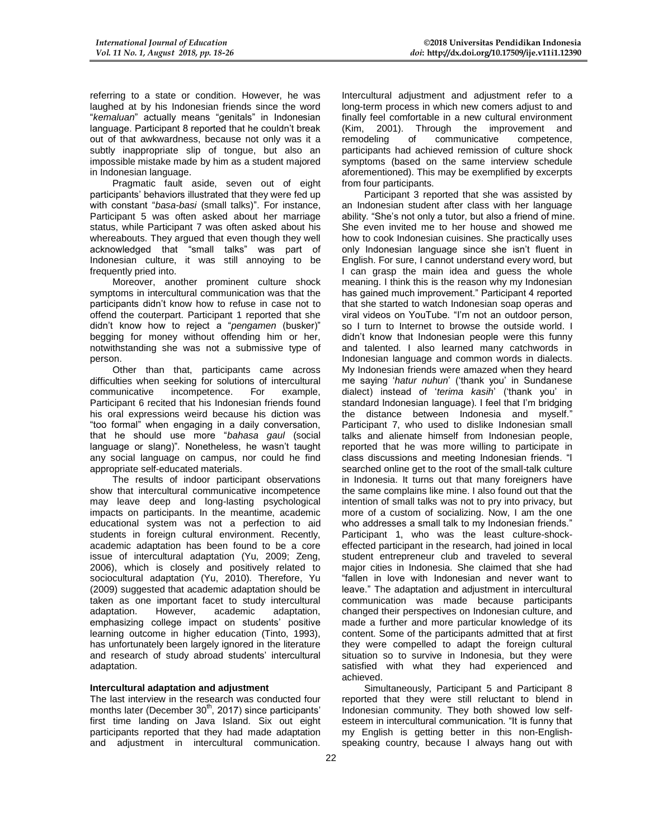referring to a state or condition. However, he was laughed at by his Indonesian friends since the word "*kemaluan*" actually means "genitals" in Indonesian language. Participant 8 reported that he couldn't break out of that awkwardness, because not only was it a subtly inappropriate slip of tongue, but also an impossible mistake made by him as a student majored in Indonesian language.

Pragmatic fault aside, seven out of eight participants' behaviors illustrated that they were fed up with constant "*basa-basi* (small talks)". For instance, Participant 5 was often asked about her marriage status, while Participant 7 was often asked about his whereabouts. They argued that even though they well acknowledged that "small talks" was part of Indonesian culture, it was still annoying to be frequently pried into.

Moreover, another prominent culture shock symptoms in intercultural communication was that the participants didn't know how to refuse in case not to offend the couterpart. Participant 1 reported that she didn't know how to reject a "*pengamen* (busker)" begging for money without offending him or her, notwithstanding she was not a submissive type of person.

Other than that, participants came across difficulties when seeking for solutions of intercultural<br>communicative incompetence. For example, communicative incompetence. For example, Participant 6 recited that his Indonesian friends found his oral expressions weird because his diction was "too formal" when engaging in a daily conversation, that he should use more "*bahasa gaul* (social language or slang)". Nonetheless, he wasn't taught any social language on campus, nor could he find appropriate self-educated materials.

The results of indoor participant observations show that intercultural communicative incompetence may leave deep and long-lasting psychological impacts on participants. In the meantime, academic educational system was not a perfection to aid students in foreign cultural environment. Recently, academic adaptation has been found to be a core issue of intercultural adaptation (Yu, 2009; Zeng, 2006), which is closely and positively related to sociocultural adaptation (Yu, 2010). Therefore, Yu (2009) suggested that academic adaptation should be taken as one important facet to study intercultural<br>adaptation. However, academic adaptation, adaptation. However, academic adaptation, emphasizing college impact on students' positive learning outcome in higher education (Tinto, 1993), has unfortunately been largely ignored in the literature and research of study abroad students' intercultural adaptation.

## **Intercultural adaptation and adjustment**

The last interview in the research was conducted four months later (December  $30<sup>th</sup>$ , 2017) since participants' first time landing on Java Island. Six out eight participants reported that they had made adaptation and adjustment in intercultural communication.

Intercultural adjustment and adjustment refer to a long-term process in which new comers adjust to and finally feel comfortable in a new cultural environment (Kim, 2001). Through the improvement and remodeling of communicative competence, participants had achieved remission of culture shock symptoms (based on the same interview schedule aforementioned). This may be exemplified by excerpts from four participants.

Participant 3 reported that she was assisted by an Indonesian student after class with her language ability. "She's not only a tutor, but also a friend of mine. She even invited me to her house and showed me how to cook Indonesian cuisines. She practically uses only Indonesian language since she isn't fluent in English. For sure, I cannot understand every word, but I can grasp the main idea and guess the whole meaning. I think this is the reason why my Indonesian has gained much improvement." Participant 4 reported that she started to watch Indonesian soap operas and viral videos on YouTube. "I'm not an outdoor person, so I turn to Internet to browse the outside world. I didn't know that Indonesian people were this funny and talented. I also learned many catchwords in Indonesian language and common words in dialects. My Indonesian friends were amazed when they heard me saying '*hatur nuhun*' ('thank you' in Sundanese dialect) instead of '*terima kasih*' ('thank you' in standard Indonesian language). I feel that I'm bridging the distance between Indonesia and myself." Participant 7, who used to dislike Indonesian small talks and alienate himself from Indonesian people, reported that he was more willing to participate in class discussions and meeting Indonesian friends. "I searched online get to the root of the small-talk culture in Indonesia. It turns out that many foreigners have the same complains like mine. I also found out that the intention of small talks was not to pry into privacy, but more of a custom of socializing. Now, I am the one who addresses a small talk to my Indonesian friends." Participant 1, who was the least culture-shockeffected participant in the research, had joined in local student entrepreneur club and traveled to several major cities in Indonesia. She claimed that she had "fallen in love with Indonesian and never want to leave." The adaptation and adjustment in intercultural communication was made because participants changed their perspectives on Indonesian culture, and made a further and more particular knowledge of its content. Some of the participants admitted that at first they were compelled to adapt the foreign cultural situation so to survive in Indonesia, but they were satisfied with what they had experienced and achieved.

Simultaneously, Participant 5 and Participant 8 reported that they were still reluctant to blend in Indonesian community. They both showed low selfesteem in intercultural communication. "It is funny that my English is getting better in this non-Englishspeaking country, because I always hang out with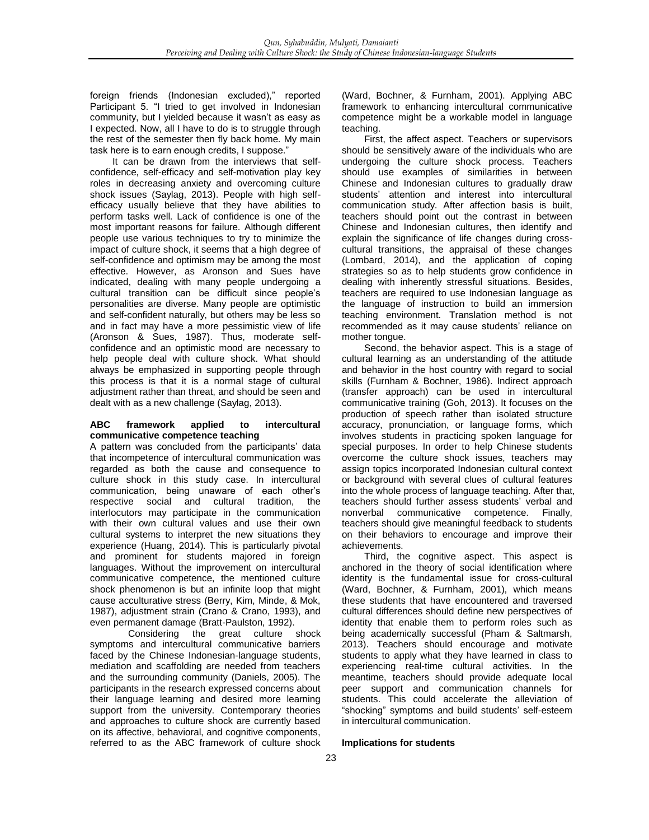foreign friends (Indonesian excluded)," reported Participant 5. "I tried to get involved in Indonesian community, but I yielded because it wasn't as easy as I expected. Now, all I have to do is to struggle through the rest of the semester then fly back home. My main task here is to earn enough credits, I suppose."

It can be drawn from the interviews that selfconfidence, self-efficacy and self-motivation play key roles in decreasing anxiety and overcoming culture shock issues (Saylag, 2013). People with high selfefficacy usually believe that they have abilities to perform tasks well. Lack of confidence is one of the most important reasons for failure. Although different people use various techniques to try to minimize the impact of culture shock, it seems that a high degree of self-confidence and optimism may be among the most effective. However, as Aronson and Sues have indicated, dealing with many people undergoing a cultural transition can be difficult since people's personalities are diverse. Many people are optimistic and self-confident naturally, but others may be less so and in fact may have a more pessimistic view of life (Aronson & Sues, 1987). Thus, moderate selfconfidence and an optimistic mood are necessary to help people deal with culture shock. What should always be emphasized in supporting people through this process is that it is a normal stage of cultural adjustment rather than threat, and should be seen and dealt with as a new challenge (Saylag, 2013).

## **ABC framework applied to intercultural communicative competence teaching**

A pattern was concluded from the participants' data that incompetence of intercultural communication was regarded as both the cause and consequence to culture shock in this study case. In intercultural communication, being unaware of each other's respective social and cultural tradition, the interlocutors may participate in the communication with their own cultural values and use their own cultural systems to interpret the new situations they experience (Huang, 2014). This is particularly pivotal and prominent for students majored in foreign languages. Without the improvement on intercultural communicative competence, the mentioned culture shock phenomenon is but an infinite loop that might cause acculturative stress (Berry, Kim, Minde, & Mok, 1987), adjustment strain (Crano & Crano, 1993), and even permanent damage (Bratt-Paulston, 1992).

Considering the great culture shock symptoms and intercultural communicative barriers faced by the Chinese Indonesian-language students, mediation and scaffolding are needed from teachers and the surrounding community (Daniels, 2005). The participants in the research expressed concerns about their language learning and desired more learning support from the university. Contemporary theories and approaches to culture shock are currently based on its affective, behavioral, and cognitive components, referred to as the ABC framework of culture shock (Ward, Bochner, & Furnham, 2001). Applying ABC framework to enhancing intercultural communicative competence might be a workable model in language teaching.

First, the affect aspect. Teachers or supervisors should be sensitively aware of the individuals who are undergoing the culture shock process. Teachers should use examples of similarities in between Chinese and Indonesian cultures to gradually draw students' attention and interest into intercultural communication study. After affection basis is built, teachers should point out the contrast in between Chinese and Indonesian cultures, then identify and explain the significance of life changes during crosscultural transitions, the appraisal of these changes (Lombard, 2014), and the application of coping strategies so as to help students grow confidence in dealing with inherently stressful situations. Besides, teachers are required to use Indonesian language as the language of instruction to build an immersion teaching environment. Translation method is not recommended as it may cause students' reliance on mother tongue.

Second, the behavior aspect. This is a stage of cultural learning as an understanding of the attitude and behavior in the host country with regard to social skills (Furnham & Bochner, 1986). Indirect approach (transfer approach) can be used in intercultural communicative training (Goh, 2013). It focuses on the production of speech rather than isolated structure accuracy, pronunciation, or language forms, which involves students in practicing spoken language for special purposes. In order to help Chinese students overcome the culture shock issues, teachers may assign topics incorporated Indonesian cultural context or background with several clues of cultural features into the whole process of language teaching. After that, teachers should further assess students' verbal and nonverbal communicative competence. Finally, teachers should give meaningful feedback to students on their behaviors to encourage and improve their achievements.

Third, the cognitive aspect. This aspect is anchored in the theory of social identification where identity is the fundamental issue for cross-cultural (Ward, Bochner, & Furnham, 2001), which means these students that have encountered and traversed cultural differences should define new perspectives of identity that enable them to perform roles such as being academically successful (Pham & Saltmarsh, 2013). Teachers should encourage and motivate students to apply what they have learned in class to experiencing real-time cultural activities. In the meantime, teachers should provide adequate local peer support and communication channels for students. This could accelerate the alleviation of "shocking" symptoms and build students' self-esteem in intercultural communication.

## **Implications for students**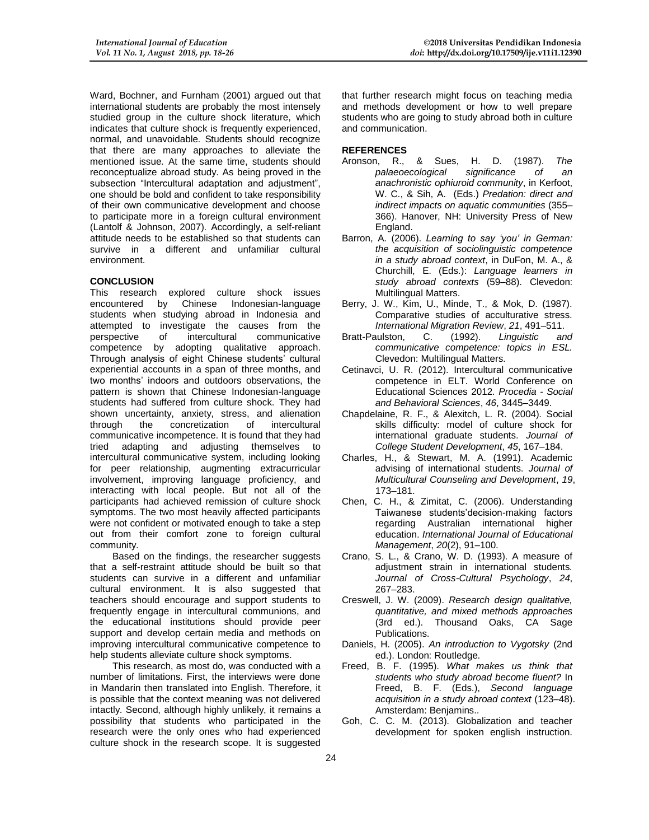Ward, Bochner, and Furnham (2001) argued out that international students are probably the most intensely studied group in the culture shock literature, which indicates that culture shock is frequently experienced, normal, and unavoidable. Students should recognize that there are many approaches to alleviate the mentioned issue. At the same time, students should reconceptualize abroad study. As being proved in the subsection "Intercultural adaptation and adjustment", one should be bold and confident to take responsibility of their own communicative development and choose to participate more in a foreign cultural environment (Lantolf & Johnson, 2007). Accordingly, a self-reliant attitude needs to be established so that students can survive in a different and unfamiliar cultural environment.

## **CONCLUSION**

This research explored culture shock issues<br>encountered by Chinese Indonesian-language Indonesian-language students when studying abroad in Indonesia and attempted to investigate the causes from the perspective of intercultural communicative competence by adopting qualitative approach. Through analysis of eight Chinese students' cultural experiential accounts in a span of three months, and two months' indoors and outdoors observations, the pattern is shown that Chinese Indonesian-language students had suffered from culture shock. They had shown uncertainty, anxiety, stress, and alienation through the concretization of intercultural communicative incompetence. It is found that they had tried adapting and adjusting themselves to intercultural communicative system, including looking for peer relationship, augmenting extracurricular involvement, improving language proficiency, and interacting with local people. But not all of the participants had achieved remission of culture shock symptoms. The two most heavily affected participants were not confident or motivated enough to take a step out from their comfort zone to foreign cultural community.

Based on the findings, the researcher suggests that a self-restraint attitude should be built so that students can survive in a different and unfamiliar cultural environment. It is also suggested that teachers should encourage and support students to frequently engage in intercultural communions, and the educational institutions should provide peer support and develop certain media and methods on improving intercultural communicative competence to help students alleviate culture shock symptoms.

This research, as most do, was conducted with a number of limitations. First, the interviews were done in Mandarin then translated into English. Therefore, it is possible that the context meaning was not delivered intactly. Second, although highly unlikely, it remains a possibility that students who participated in the research were the only ones who had experienced culture shock in the research scope. It is suggested

that further research might focus on teaching media and methods development or how to well prepare students who are going to study abroad both in culture and communication.

## **REFERENCES**

- Aronson, R., & Sues, H. D. (1987). *The palaeoecological significance of an anachronistic ophiuroid community*, in Kerfoot, W. C., & Sih, A. (Eds.) *Predation: direct and indirect impacts on aquatic communities* (355– 366). Hanover, NH: University Press of New England.
- Barron, A. (2006). *Learning to say 'you' in German: the acquisition of sociolinguistic competence in a study abroad context*, in DuFon, M. A., & Churchill, E. (Eds.): *Language learners in study abroad contexts* (59–88). Clevedon: Multilingual Matters.
- Berry, J. W., Kim, U., Minde, T., & Mok, D. (1987). Comparative studies of acculturative stress. *International Migration Review*, *21*, 491–511.
- Bratt-Paulston, C. (1992). *Linguistic and communicative competence: topics in ESL.* Clevedon: Multilingual Matters.
- Cetinavci, U. R. (2012). Intercultural communicative competence in ELT. World Conference on Educational Sciences 2012. *Procedia - Social and Behavioral Sciences*, *46*, 3445–3449.
- Chapdelaine, R. F., & Alexitch, L. R. (2004). Social skills difficulty: model of culture shock for international graduate students. *Journal of College Student Development*, *45*, 167–184.
- Charles, H., & Stewart, M. A. (1991). Academic advising of international students. *Journal of Multicultural Counseling and Development*, *19*, 173–181.
- Chen, C. H., & Zimitat, C. (2006). Understanding Taiwanese students'decision-making factors regarding Australian international higher education. *International Journal of Educational Management*, *20*(2), 91–100.
- Crano, S. L., & Crano, W. D. (1993). A measure of adjustment strain in international students*. Journal of Cross-Cultural Psychology*, *24*, 267–283.
- Creswell, J. W. (2009). *Research design qualitative, quantitative, and mixed methods approaches*  (3rd ed.). Thousand Oaks, CA Sage Publications.
- Daniels, H. (2005). *An introduction to Vygotsky* (2nd ed.). London: Routledge.
- Freed, B. F. (1995). *What makes us think that students who study abroad become fluent?* In Freed, B. F. (Eds.), *Second language acquisition in a study abroad context* (123–48). Amsterdam: Benjamins..
- Goh, C. C. M. (2013). Globalization and teacher development for spoken english instruction.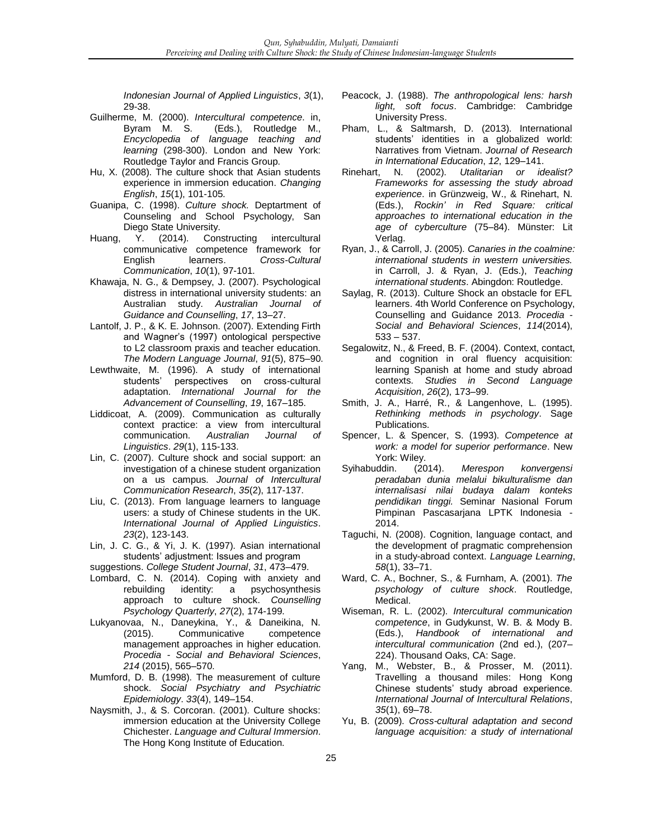*Indonesian Journal of Applied Linguistics*, *3*(1), 29-38.

- Guilherme, M. (2000). *Intercultural competence*. in, (Eds.), Routledge M., *Encyclopedia of language teaching and learning* (298-300). London and New York: Routledge Taylor and Francis Group.
- Hu, X. (2008). The culture shock that Asian students experience in immersion education. *Changing English*, *15*(1), 101-105.
- Guanipa, C. (1998). *Culture shock.* Deptartment of Counseling and School Psychology, San Diego State University.
- Huang, Y. (2014). Constructing intercultural communicative competence framework for English learners. *Cross-Cultural Communication*, *10*(1), 97-101.
- Khawaja, N. G., & Dempsey, J. (2007). Psychological distress in international university students: an Australian study. *Australian Journal of Guidance and Counselling*, *17*, 13–27.
- Lantolf, J. P., & K. E. Johnson. (2007). Extending Firth and Wagner's (1997) ontological perspective to L2 classroom praxis and teacher education. *The Modern Language Journal*, *91*(5), 875–90.
- Lewthwaite, M. (1996). A study of international students' perspectives on cross-cultural adaptation. *International Journal for the Advancement of Counselling*, *19*, 167–185.
- Liddicoat, A. (2009). Communication as culturally context practice: a view from intercultural communication. *Australian Journal of Linguistics*. *29*(1), 115-133.
- Lin, C. (2007). Culture shock and social support: an investigation of a chinese student organization on a us campus. *Journal of Intercultural Communication Research*, *35*(2), 117-137.
- Liu, C. (2013). From language learners to language users: a study of Chinese students in the UK. *International Journal of Applied Linguistics*. *23*(2), 123-143.
- Lin, J. C. G., & Yi, J. K. (1997). Asian international students' adjustment: Issues and program
- suggestions. *College Student Journal*, *31*, 473–479.
- Lombard, C. N. (2014). Coping with anxiety and rebuilding identity: a psychosynthesis approach to culture shock. *Counselling Psychology Quarterly*, *27*(2), 174-199.
- Lukyanovaa, N., Daneykina, Y., & Daneikina, N. Communicative competence management approaches in higher education. *Procedia - Social and Behavioral Sciences*, *214* (2015), 565–570.
- Mumford, D. B. (1998). The measurement of culture shock. *Social Psychiatry and Psychiatric Epidemiology*. *33*(4), 149–154.
- Naysmith, J., & S. Corcoran. (2001). Culture shocks: immersion education at the University College Chichester. *Language and Cultural Immersion*. The Hong Kong Institute of Education.
- Peacock, J. (1988). *The anthropological lens: harsh light, soft focus*. Cambridge: Cambridge University Press.
- Pham, L., & Saltmarsh, D. (2013). International students' identities in a globalized world: Narratives from Vietnam. *Journal of Research in International Education*, *12*, 129–141.
- Rinehart, N. (2002). *Utalitarian or idealist? Frameworks for assessing the study abroad experience*. in Grünzweig, W., & Rinehart, N. (Eds.), *Rockin' in Red Square: critical approaches to international education in the age of cyberculture* (75–84). Münster: Lit Verlag.
- Ryan, J., & Carroll, J. (2005). *Canaries in the coalmine: international students in western universities.* in Carroll, J. & Ryan, J. (Eds.), *Teaching international students*. Abingdon: Routledge.
- Saylag, R. (2013). Culture Shock an obstacle for EFL learners. 4th World Conference on Psychology, Counselling and Guidance 2013. *Procedia - Social and Behavioral Sciences*, *114*(2014), 533 – 537.
- Segalowitz, N., & Freed, B. F. (2004). Context, contact, and cognition in oral fluency acquisition: learning Spanish at home and study abroad contexts. *Studies in Second Language Acquisition*, *26*(2), 173–99.
- Smith, J. A., Harré, R., & Langenhove, L. (1995). *Rethinking methods in psychology*. Sage Publications.
- Spencer, L. & Spencer, S. (1993). *Competence at work: a model for superior performance*. New
- York: Wiley.<br>uddin. (2014). Syihabuddin. (2014). *Merespon konvergensi peradaban dunia melalui bikulturalisme dan internalisasi nilai budaya dalam konteks pendidikan tinggi.* Seminar Nasional Forum Pimpinan Pascasarjana LPTK Indonesia - 2014.
- Taguchi, N. (2008). Cognition, language contact, and the development of pragmatic comprehension in a study-abroad context. *Language Learning*, *58*(1), 33–71.
- Ward, C. A., Bochner, S., & Furnham, A. (2001). *The psychology of culture shock*. Routledge, Medical.
- Wiseman, R. L. (2002). *Intercultural communication competence*, in Gudykunst, W. B. & Mody B. (Eds.), *Handbook of international and intercultural communication* (2nd ed.), (207– 224). Thousand Oaks, CA: Sage.
- Yang, M., Webster, B., & Prosser, M. (2011). Travelling a thousand miles: Hong Kong Chinese students' study abroad experience. *International Journal of Intercultural Relations*, *35*(1), 69–78.
- Yu, B. (2009). *Cross-cultural adaptation and second language acquisition: a study of international*